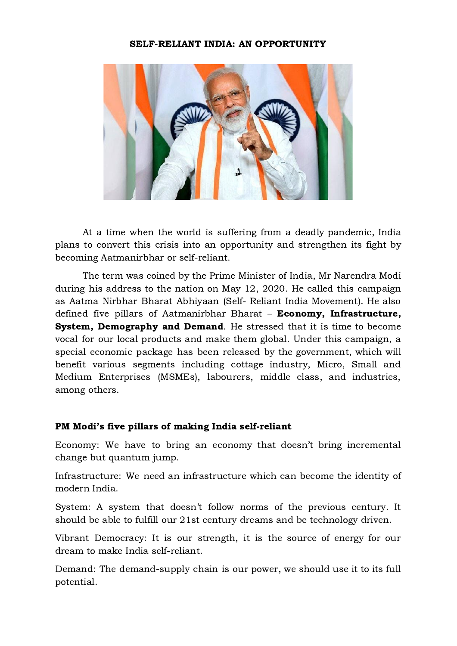## SELF-RELIANT INDIA: AN OPPORTUNITY



At a time when the world is suffering from a deadly pandemic, India plans to convert this crisis into an opportunity and strengthen its fight by becoming Aatmanirbhar or self-reliant.

The term was coined by the Prime Minister of India, Mr Narendra Modi during his address to the nation on May 12, 2020. He called this campaign as Aatma Nirbhar Bharat Abhiyaan (Self- Reliant India Movement). He also defined five pillars of Aatmanirbhar Bharat - Economy, Infrastructure, System, Demography and Demand. He stressed that it is time to become vocal for our local products and make them global. Under this campaign, a special economic package has been released by the government, which will benefit various segments including cottage industry, Micro, Small and Medium Enterprises (MSMEs), labourers, middle class, and industries, among others.

## PM Modi's five pillars of making India self-reliant

Economy: We have to bring an economy that doesn't bring incremental change but quantum jump.

Infrastructure: We need an infrastructure which can become the identity of modern India.

System: A system that doesn't follow norms of the previous century. It should be able to fulfill our 21st century dreams and be technology driven.

Vibrant Democracy: It is our strength, it is the source of energy for our dream to make India self-reliant.

Demand: The demand-supply chain is our power, we should use it to its full potential.